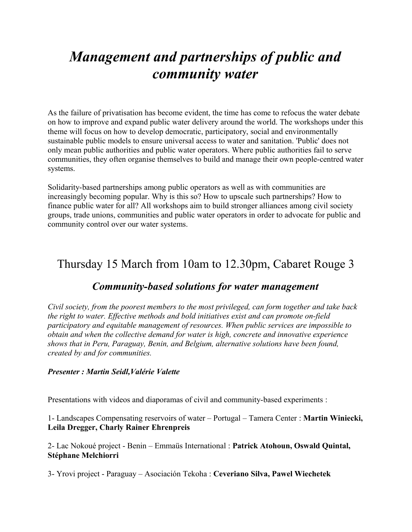# *Management and partnerships of public and community water*

As the failure of privatisation has become evident, the time has come to refocus the water debate on how to improve and expand public water delivery around the world. The workshops under this theme will focus on how to develop democratic, participatory, social and environmentally sustainable public models to ensure universal access to water and sanitation. 'Public' does not only mean public authorities and public water operators. Where public authorities fail to serve communities, they often organise themselves to build and manage their own people-centred water systems.

Solidarity-based partnerships among public operators as well as with communities are increasingly becoming popular. Why is this so? How to upscale such partnerships? How to finance public water for all? All workshops aim to build stronger alliances among civil society groups, trade unions, communities and public water operators in order to advocate for public and community control over our water systems.

# Thursday 15 March from 10am to 12.30pm, Cabaret Rouge 3

### *Community-based solutions for water management*

*Civil society, from the poorest members to the most privileged, can form together and take back the right to water. Effective methods and bold initiatives exist and can promote on-field participatory and equitable management of resources. When public services are impossible to obtain and when the collective demand for water is high, concrete and innovative experience shows that in Peru, Paraguay, Benin, and Belgium, alternative solutions have been found, created by and for communities.*

#### *Presenter : Martin Seidl,Valérie Valette*

Presentations with videos and diaporamas of civil and community-based experiments :

1- Landscapes Compensating reservoirs of water – Portugal – Tamera Center : **Martin Winiecki, Leila Dregger, Charly Rainer Ehrenpreis**

2- Lac Nokoué project - Benin – Emmaüs International : **Patrick Atohoun, Oswald Quintal, Stéphane Melchiorri**

3- Yrovi project - Paraguay – Asociación Tekoha : **Ceveriano Silva, Pawel Wiechetek**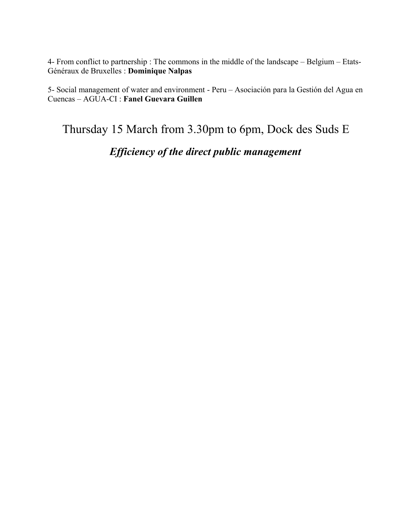4- From conflict to partnership : The commons in the middle of the landscape – Belgium – Etats-Généraux de Bruxelles : **Dominique Nalpas**

5- Social management of water and environment - Peru – Asociación para la Gestión del Agua en Cuencas – AGUA-CI : **Fanel Guevara Guillen**

Thursday 15 March from 3.30pm to 6pm, Dock des Suds E

### *Efficiency of the direct public management*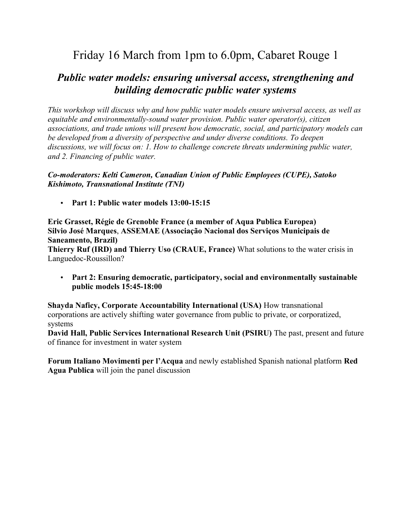# Friday 16 March from 1pm to 6.0pm, Cabaret Rouge 1

### *Public water models: ensuring universal access, strengthening and building democratic public water systems*

*This workshop will discuss why and how public water models ensure universal access, as well as equitable and environmentally-sound water provision. Public water operator(s), citizen associations, and trade unions will present how democratic, social, and participatory models can be developed from a diversity of perspective and under diverse conditions. To deepen discussions, we will focus on: 1. How to challenge concrete threats undermining public water, and 2. Financing of public water.*

#### *Co-moderators: Kelti Cameron, Canadian Union of Public Employees (CUPE), Satoko Kishimoto, Transnational Institute (TNI)*

• **Part 1: Public water models 13:00-15:15**

**Eric Grasset, Régie de Grenoble France (a member of Aqua Publica Europea) Silvio José Marques**, **ASSEMAE (Associação Nacional dos Serviços Municipais de Saneamento, Brazil)**

**Thierry Ruf (IRD) and Thierry Uso (CRAUE, France)** What solutions to the water crisis in Languedoc-Roussillon?

• **Part 2: Ensuring democratic, participatory, social and environmentally sustainable public models 15:45-18:00**

**Shayda Naficy, Corporate Accountability International (USA)** How transnational corporations are actively shifting water governance from public to private, or corporatized, systems

**David Hall, Public Services International Research Unit (PSIRU)** The past, present and future of finance for investment in water system

**Forum Italiano Movimenti per l'Acqua** and newly established Spanish national platform **Red Agua Publica** will join the panel discussion